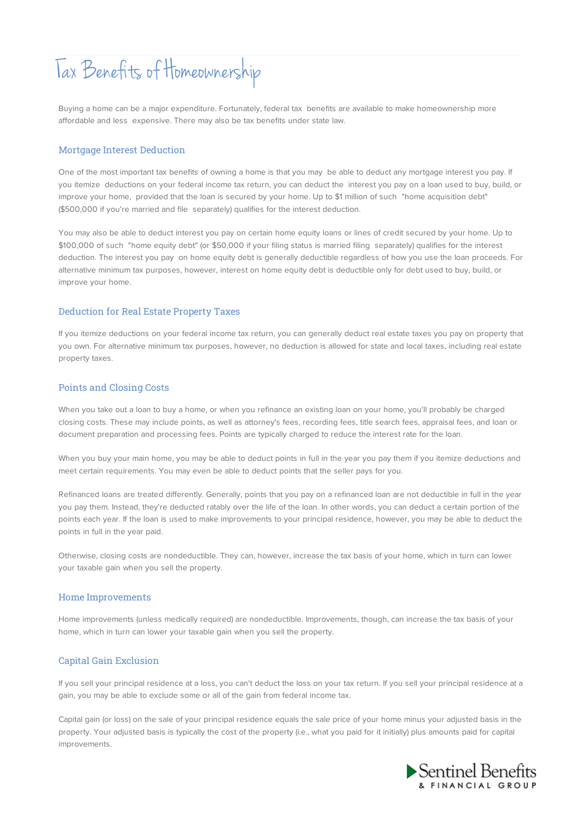# Tax Benefits of Homeownership

Buying a home can be a major expenditure. Fortunately, federal tax benefits are available to make homeownership more affordable and less expensive. There may also be tax benefits under state law.

#### Mortgage Interest Deduction

One of the most important tax benefits of owning a home is that you may be able to deduct any mortgage interest you pay. If you itemize deductions on your federal income tax return, you can deduct the interest you pay on a loan used to buy, build, or improve your home, provided that the loan is secured by your home. Up to \$1 million of such "home acquisition debt" (\$500,000 if you're married and file separately) qualifies for the interest deduction.

You may also be able to deduct interest you pay on certain home equity loans or lines of credit secured by your home. Up to \$100,000 of such "home equity debt" (or \$50,000 if your filing status is married filing separately) qualifies for the interest deduction. The interest you pay on home equity debt is generally deductible regardless of how you use the loan proceeds. For alternative minimum tax purposes, however, interest on home equity debt is deductible only for debt used to buy, build, or improve your home.

#### Deduction for Real Estate Property Taxes

If you itemize deductions on your federal income tax return, you can generally deduct real estate taxes you pay on property that you own. For alternative minimum tax purposes, however, no deduction is allowed for state and local taxes, including real estate property taxes.

## Points and Closing Costs

When you take out a loan to buy a home, or when you refinance an existing loan on your home, you'll probably be charged closing costs. These may include points, as well as attorney's fees, recording fees, title search fees, appraisal fees, and loan or document preparation and processing fees. Points are typically charged to reduce the interest rate for the loan.

When you buy your main home, you may be able to deduct points in full in the year you pay them if you itemize deductions and meet certain requirements. You may even be able to deduct points that the seller pays for you.

Refinanced loans are treated differently. Generally, points that you pay on a refinanced loan are not deductible in full in the year you pay them. Instead, they're deducted ratably over the life of the loan. In other words, you can deduct a certain portion of the points each year. If the loan is used to make improvements to your principal residence, however, you may be able to deduct the points in full in the year paid.

Otherwise, closing costs are nondeductible. They can, however, increase the tax basis of your home, which in turn can lower your taxable gain when you sell the property.

#### Home Improvements

Home improvements (unless medically required) are nondeductible. Improvements, though, can increase the tax basis of your home, which in turn can lower your taxable gain when you sell the property.

## Capital Gain Exclusion

If you sell your principal residence at a loss, you can't deduct the loss on your tax return. If you sell your principal residence at a gain, you may be able to exclude some or all of the gain from federal income tax.

Capital gain (or loss) on the sale of your principal residence equals the sale price of your home minus your adjusted basis in the property. Your adjusted basis is typically the cost of the property (i.e., what you paid for it initially) plus amounts paid for capital improvements.